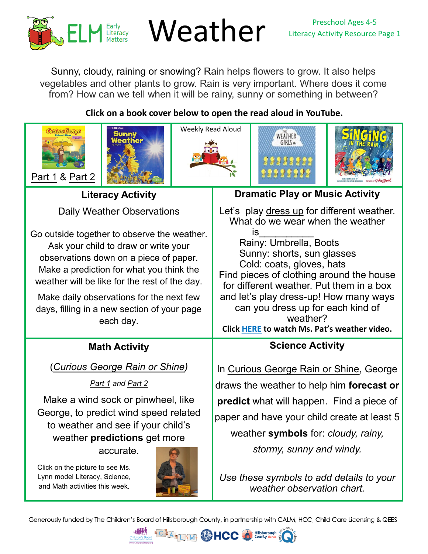

# $\mathbf{P}_{\text{Ratteracy}}$  Weather Literacy Activity Resource Page 1

Sunny, cloudy, raining or snowing? Rain helps flowers to grow. It also helps vegetables and other plants to grow. Rain is very important. Where does it come from? How can we tell when it will be rainy, sunny or something in between?

# **Click on a book cover below to open the read aloud in YouTube.**











**Literacy Activity**

Daily Weather Observations

Go outside together to observe the weather. Ask your child to draw or write your observations down on a piece of paper. Make a prediction for what you think the weather will be like for the rest of the day.

Make daily observations for the next few days, filling in a new section of your page each day.

# **Math Activity**

(*[Curious George Rain or Shine](https://youtu.be/pY5QDyoxGEQ))*

*[Part 1](https://youtu.be/pY5QDyoxGEQ) and [Part 2](https://youtu.be/dLOU32JN7tA)*

Make a wind sock or pinwheel, like George, to predict wind speed related to weather and see if your child's weather **predictions** get more

accurate.

Click on the picture to see Ms. Lynn model Literacy, Science, [and Math activities this week.](https://youtu.be/QrfMe0qFodM) 



# **Dramatic Play or Music Activity**

Let's play dress up for different weather. What do we wear when the weather is\_\_\_\_\_\_\_\_\_\_

Rainy: Umbrella, Boots Sunny: shorts, sun glasses Cold: coats, gloves, hats Find pieces of clothing around the house for different weather. Put them in a box and let's play dress-up! How many ways can you dress up for each kind of weather? **Click [HERE](https://youtu.be/g_WsSIAk_wQ) to watch Ms. Pat's weather video.**

# **Science Activity**

In [Curious George Rain or Shine](https://youtu.be/pY5QDyoxGEQ), George draws the weather to help him **forecast or predict** what will happen. Find a piece of paper and have your child create at least 5 weather **symbols** for: *cloudy, rainy, stormy, sunny and windy.* 

*Use these symbols to add details to your weather observation chart.* 

Generously funded by The Children's Board of Hillsborough County, in partnership with CALM, HCC, Child Care Licensing & QEES

 $^3M$ 

**PHCC**